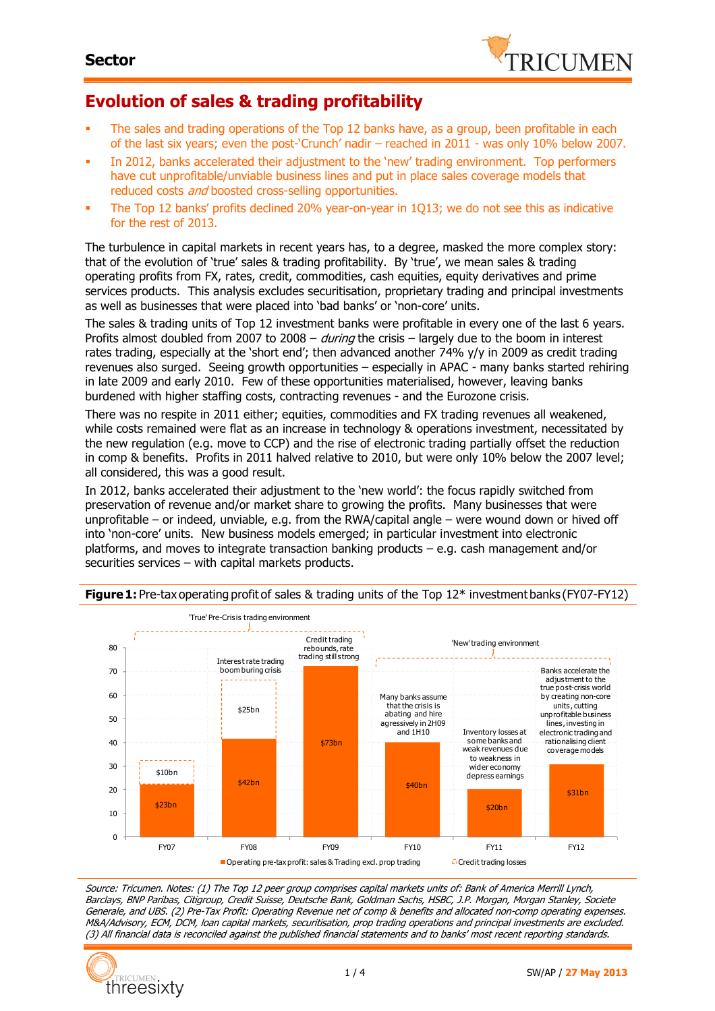

### **Evolution of sales & trading profitability**

- The sales and trading operations of the Top 12 banks have, as a group, been profitable in each of the last six years; even the post-'Crunch' nadir – reached in 2011 - was only 10% below 2007.
- In 2012, banks accelerated their adjustment to the 'new' trading environment. Top performers have cut unprofitable/unviable business lines and put in place sales coverage models that reduced costs *and* boosted cross-selling opportunities.
- The Top 12 banks' profits declined 20% year-on-year in 1Q13; we do not see this as indicative for the rest of 2013.

The turbulence in capital markets in recent years has, to a degree, masked the more complex story: that of the evolution of 'true' sales & trading profitability. By 'true', we mean sales & trading operating profits from FX, rates, credit, commodities, cash equities, equity derivatives and prime services products. This analysis excludes securitisation, proprietary trading and principal investments as well as businesses that were placed into 'bad banks' or 'non-core' units.

The sales & trading units of Top 12 investment banks were profitable in every one of the last 6 years. Profits almost doubled from 2007 to 2008 – *during* the crisis – largely due to the boom in interest rates trading, especially at the 'short end'; then advanced another 74% y/y in 2009 as credit trading revenues also surged. Seeing growth opportunities – especially in APAC - many banks started rehiring in late 2009 and early 2010. Few of these opportunities materialised, however, leaving banks burdened with higher staffing costs, contracting revenues - and the Eurozone crisis.

There was no respite in 2011 either; equities, commodities and FX trading revenues all weakened, while costs remained were flat as an increase in technology & operations investment, necessitated by the new regulation (e.g. move to CCP) and the rise of electronic trading partially offset the reduction in comp & benefits. Profits in 2011 halved relative to 2010, but were only 10% below the 2007 level; all considered, this was a good result.

In 2012, banks accelerated their adjustment to the 'new world': the focus rapidly switched from preservation of revenue and/or market share to growing the profits. Many businesses that were unprofitable – or indeed, unviable, e.g. from the RWA/capital angle – were wound down or hived off into 'non-core' units. New business models emerged; in particular investment into electronic platforms, and moves to integrate transaction banking products – e.g. cash management and/or securities services – with capital markets products.



#### **Figure 1:** Pre-tax operating profit of sales & trading units of the Top 12<sup>\*</sup> investment banks (FY07-FY12)

Source: Tricumen. Notes: (1) The Top 12 peer group comprises capital markets units of: Bank of America Merrill Lynch, Barclays, BNP Paribas, Citigroup, Credit Suisse, Deutsche Bank, Goldman Sachs, HSBC, J.P. Morgan, Morgan Stanley, Societe Generale, and UBS. (2) Pre-Tax Profit: Operating Revenue net of comp & benefits and allocated non-comp operating expenses. M&A/Advisory, ECM, DCM, loan capital markets, securitisation, prop trading operations and principal investments are excluded. (3) All financial data is reconciled against the published financial statements and to banks' most recent reporting standards.

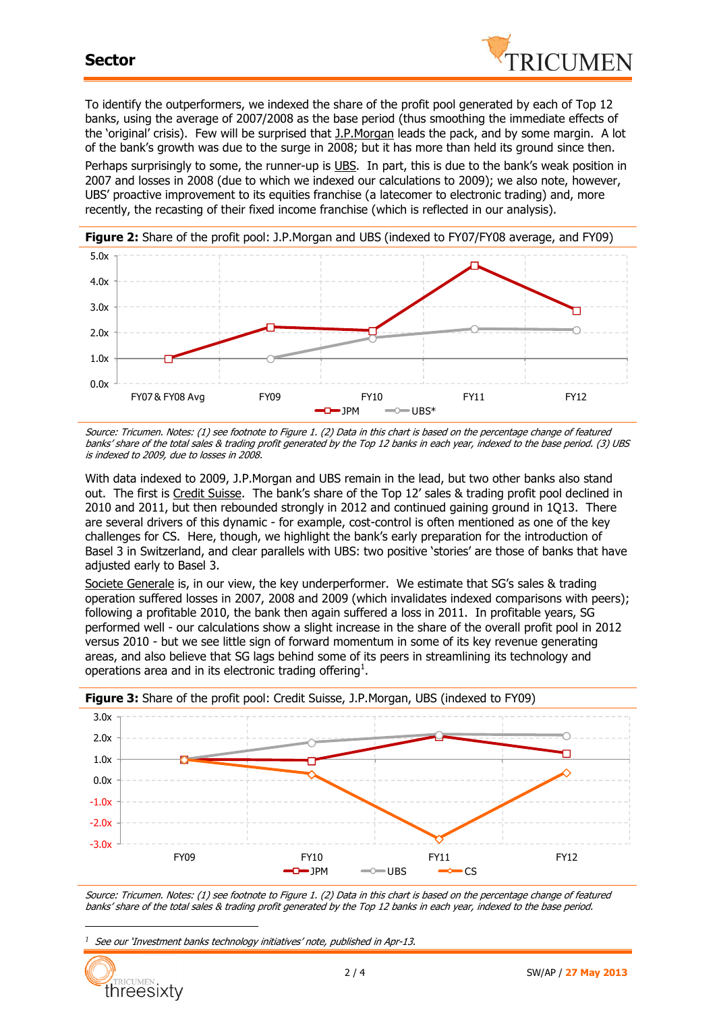

To identify the outperformers, we indexed the share of the profit pool generated by each of Top 12 banks, using the average of 2007/2008 as the base period (thus smoothing the immediate effects of the 'original' crisis). Few will be surprised that J.P.Morgan leads the pack, and by some margin. A lot of the bank's growth was due to the surge in 2008; but it has more than held its ground since then. Perhaps surprisingly to some, the runner-up is UBS. In part, this is due to the bank's weak position in 2007 and losses in 2008 (due to which we indexed our calculations to 2009); we also note, however, UBS' proactive improvement to its equities franchise (a latecomer to electronic trading) and, more recently, the recasting of their fixed income franchise (which is reflected in our analysis).



Source: Tricumen. Notes: (1) see footnote to Figure 1. (2) Data in this chart is based on the percentage change of featured banks' share of the total sales & trading profit generated by the Top 12 banks in each year, indexed to the base period. (3) UBS is indexed to 2009, due to losses in 2008.

With data indexed to 2009, J.P.Morgan and UBS remain in the lead, but two other banks also stand out. The first is Credit Suisse. The bank's share of the Top 12' sales & trading profit pool declined in 2010 and 2011, but then rebounded strongly in 2012 and continued gaining ground in 1Q13. There are several drivers of this dynamic - for example, cost-control is often mentioned as one of the key challenges for CS. Here, though, we highlight the bank's early preparation for the introduction of Basel 3 in Switzerland, and clear parallels with UBS: two positive 'stories' are those of banks that have adjusted early to Basel 3.

Societe Generale is, in our view, the key underperformer. We estimate that SG's sales & trading operation suffered losses in 2007, 2008 and 2009 (which invalidates indexed comparisons with peers); following a profitable 2010, the bank then again suffered a loss in 2011. In profitable years, SG performed well - our calculations show a slight increase in the share of the overall profit pool in 2012 versus 2010 - but we see little sign of forward momentum in some of its key revenue generating areas, and also believe that SG lags behind some of its peers in streamlining its technology and operations area and in its electronic trading offering<sup>1</sup>.



Source: Tricumen. Notes: (1) see footnote to Figure 1. (2) Data in this chart is based on the percentage change of featured banks' share of the total sales & trading profit generated by the Top 12 banks in each year, indexed to the base period.

*<sup>1</sup>* See our 'Investment banks technology initiatives' note, published in Apr-13.



 $\overline{a}$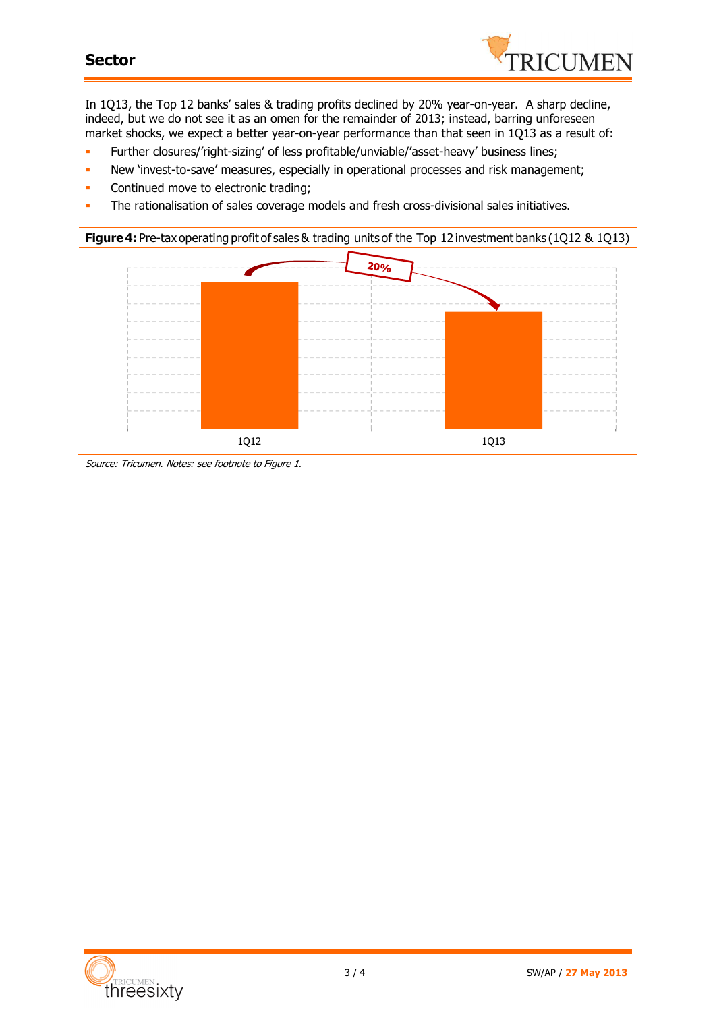### **Sector**



In 1Q13, the Top 12 banks' sales & trading profits declined by 20% year-on-year. A sharp decline, indeed, but we do not see it as an omen for the remainder of 2013; instead, barring unforeseen market shocks, we expect a better year-on-year performance than that seen in 1Q13 as a result of:

- Further closures/'right-sizing' of less profitable/unviable/'asset-heavy' business lines;
- New 'invest-to-save' measures, especially in operational processes and risk management;
- **Continued move to electronic trading;**
- The rationalisation of sales coverage models and fresh cross-divisional sales initiatives.

**Figure4:** Pre-tax operating profit of sales& trading units of the Top 12 investment banks (1Q12 & 1Q13)



Source: Tricumen. Notes: see footnote to Figure 1.